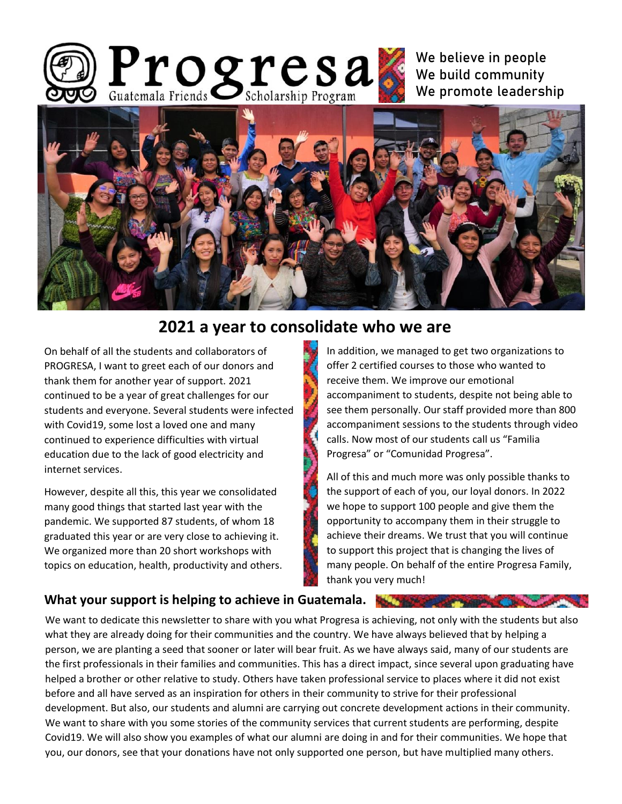

We believe in people We build community We promote leadership



# **2021 a year to consolidate who we are**

On behalf of all the students and collaborators of PROGRESA, I want to greet each of our donors and thank them for another year of support. 2021 continued to be a year of great challenges for our students and everyone. Several students were infected with Covid19, some lost a loved one and many continued to experience difficulties with virtual education due to the lack of good electricity and internet services.

However, despite all this, this year we consolidated many good things that started last year with the pandemic. We supported 87 students, of whom 18 graduated this year or are very close to achieving it. We organized more than 20 short workshops with topics on education, health, productivity and others. In addition, we managed to get two organizations to offer 2 certified courses to those who wanted to receive them. We improve our emotional accompaniment to students, despite not being able to see them personally. Our staff provided more than 800 accompaniment sessions to the students through video calls. Now most of our students call us "Familia Progresa" or "Comunidad Progresa".

All of this and much more was only possible thanks to the support of each of you, our loyal donors. In 2022 we hope to support 100 people and give them the opportunity to accompany them in their struggle to achieve their dreams. We trust that you will continue to support this project that is changing the lives of many people. On behalf of the entire Progresa Family, thank you very much!

#### **What your support is helping to achieve in Guatemala.**

We want to dedicate this newsletter to share with you what Progresa is achieving, not only with the students but also what they are already doing for their communities and the country. We have always believed that by helping a person, we are planting a seed that sooner or later will bear fruit. As we have always said, many of our students are the first professionals in their families and communities. This has a direct impact, since several upon graduating have helped a brother or other relative to study. Others have taken professional service to places where it did not exist before and all have served as an inspiration for others in their community to strive for their professional development. But also, our students and alumni are carrying out concrete development actions in their community. We want to share with you some stories of the community services that current students are performing, despite Covid19. We will also show you examples of what our alumni are doing in and for their communities. We hope that you, our donors, see that your donations have not only supported one person, but have multiplied many others.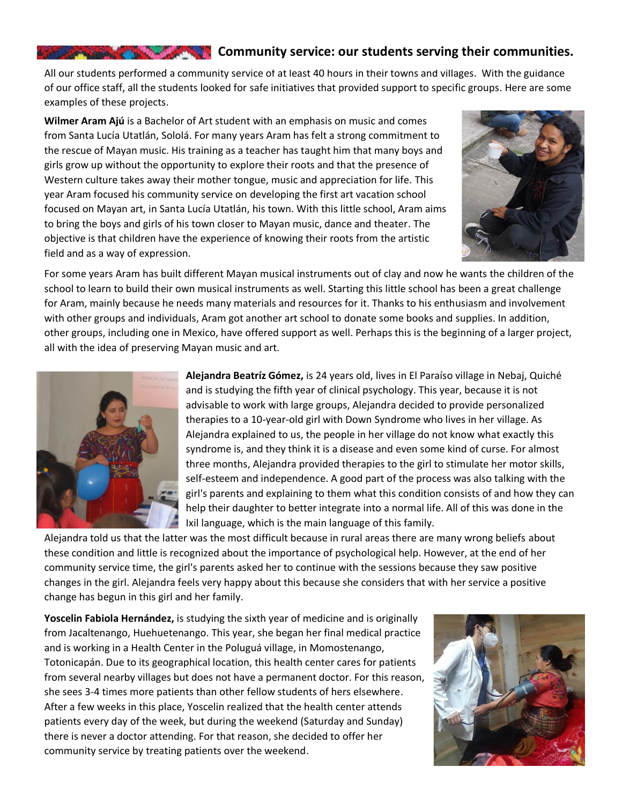#### **Community service: our students serving their communities.**

All our students performed a community service of at least 40 hours in their towns and villages. With the guidance of our office staff, all the students looked for safe initiatives that provided support to specific groups. Here are some examples of these projects.

**Wilmer Aram Ajú** is a Bachelor of Art student with an emphasis on music and comes from Santa Lucía Utatlán, Sololá. For many years Aram has felt a strong commitment to the rescue of Mayan music. His training as a teacher has taught him that many boys and girls grow up without the opportunity to explore their roots and that the presence of Western culture takes away their mother tongue, music and appreciation for life. This year Aram focused his community service on developing the first art vacation school focused on Mayan art, in Santa Lucía Utatlán, his town. With this little school, Aram aims to bring the boys and girls of his town closer to Mayan music, dance and theater. The objective is that children have the experience of knowing their roots from the artistic field and as a way of expression.



For some years Aram has built different Mayan musical instruments out of clay and now he wants the children of the school to learn to build their own musical instruments as well. Starting this little school has been a great challenge for Aram, mainly because he needs many materials and resources for it. Thanks to his enthusiasm and involvement with other groups and individuals, Aram got another art school to donate some books and supplies. In addition, other groups, including one in Mexico, have offered support as well. Perhaps this is the beginning of a larger project, all with the idea of preserving Mayan music and art.



**Alejandra Beatríz Gómez,** is 24 years old, lives in El Paraíso village in Nebaj, Quiché and is studying the fifth year of clinical psychology. This year, because it is not advisable to work with large groups, Alejandra decided to provide personalized therapies to a 10-year-old girl with Down Syndrome who lives in her village. As Alejandra explained to us, the people in her village do not know what exactly this syndrome is, and they think it is a disease and even some kind of curse. For almost three months, Alejandra provided therapies to the girl to stimulate her motor skills, self-esteem and independence. A good part of the process was also talking with the girl's parents and explaining to them what this condition consists of and how they can help their daughter to better integrate into a normal life. All of this was done in the Ixil language, which is the main language of this family.

Alejandra told us that the latter was the most difficult because in rural areas there are many wrong beliefs about these condition and little is recognized about the importance of psychological help. However, at the end of her community service time, the girl's parents asked her to continue with the sessions because they saw positive changes in the girl. Alejandra feels very happy about this because she considers that with her service a positive change has begun in this girl and her family.

**Yoscelin Fabiola Hernández,** is studying the sixth year of medicine and is originally from Jacaltenango, Huehuetenango. This year, she began her final medical practice and is working in a Health Center in the Poluguá village, in Momostenango, Totonicapán. Due to its geographical location, this health center cares for patients from several nearby villages but does not have a permanent doctor. For this reason, she sees 3-4 times more patients than other fellow students of hers elsewhere. After a few weeks in this place, Yoscelin realized that the health center attends patients every day of the week, but during the weekend (Saturday and Sunday) there is never a doctor attending. For that reason, she decided to offer her community service by treating patients over the weekend.

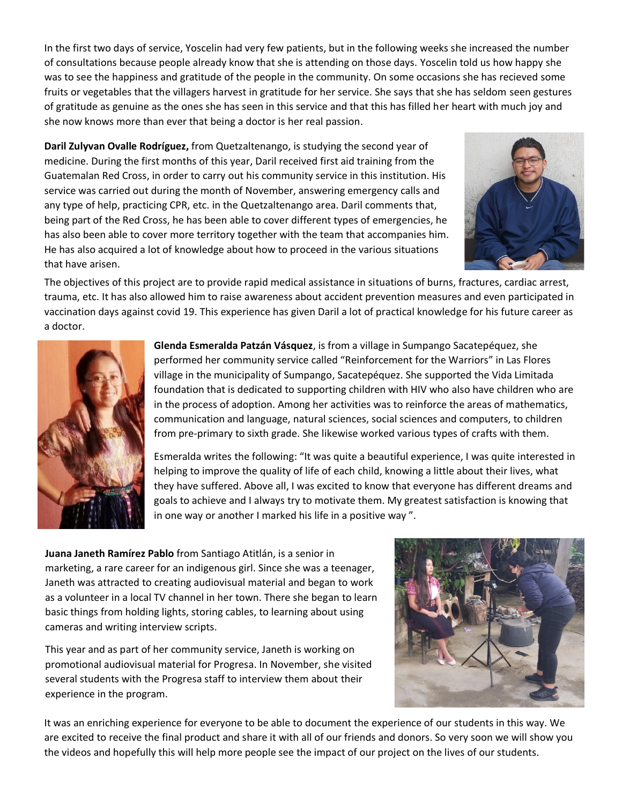In the first two days of service, Yoscelin had very few patients, but in the following weeks she increased the number of consultations because people already know that she is attending on those days. Yoscelin told us how happy she was to see the happiness and gratitude of the people in the community. On some occasions she has recieved some fruits or vegetables that the villagers harvest in gratitude for her service. She says that she has seldom seen gestures of gratitude as genuine as the ones she has seen in this service and that this has filled her heart with much joy and she now knows more than ever that being a doctor is her real passion.

**Daril Zulyvan Ovalle Rodríguez,** from Quetzaltenango, is studying the second year of medicine. During the first months of this year, Daril received first aid training from the Guatemalan Red Cross, in order to carry out his community service in this institution. His service was carried out during the month of November, answering emergency calls and any type of help, practicing CPR, etc. in the Quetzaltenango area. Daril comments that, being part of the Red Cross, he has been able to cover different types of emergencies, he has also been able to cover more territory together with the team that accompanies him. He has also acquired a lot of knowledge about how to proceed in the various situations that have arisen.



The objectives of this project are to provide rapid medical assistance in situations of burns, fractures, cardiac arrest, trauma, etc. It has also allowed him to raise awareness about accident prevention measures and even participated in vaccination days against covid 19. This experience has given Daril a lot of practical knowledge for his future career as a doctor.



**Glenda Esmeralda Patzán Vásquez**, is from a village in Sumpango Sacatepéquez, she performed her community service called "Reinforcement for the Warriors" in Las Flores village in the municipality of Sumpango, Sacatepéquez. She supported the Vida Limitada foundation that is dedicated to supporting children with HIV who also have children who are in the process of adoption. Among her activities was to reinforce the areas of mathematics, communication and language, natural sciences, social sciences and computers, to children from pre-primary to sixth grade. She likewise worked various types of crafts with them.

Esmeralda writes the following: "It was quite a beautiful experience, I was quite interested in helping to improve the quality of life of each child, knowing a little about their lives, what they have suffered. Above all, I was excited to know that everyone has different dreams and goals to achieve and I always try to motivate them. My greatest satisfaction is knowing that in one way or another I marked his life in a positive way ".

**Juana Janeth Ramírez Pablo** from Santiago Atitlán, is a senior in marketing, a rare career for an indigenous girl. Since she was a teenager, Janeth was attracted to creating audiovisual material and began to work as a volunteer in a local TV channel in her town. There she began to learn basic things from holding lights, storing cables, to learning about using cameras and writing interview scripts.

This year and as part of her community service, Janeth is working on promotional audiovisual material for Progresa. In November, she visited several students with the Progresa staff to interview them about their experience in the program.



It was an enriching experience for everyone to be able to document the experience of our students in this way. We are excited to receive the final product and share it with all of our friends and donors. So very soon we will show you the videos and hopefully this will help more people see the impact of our project on the lives of our students.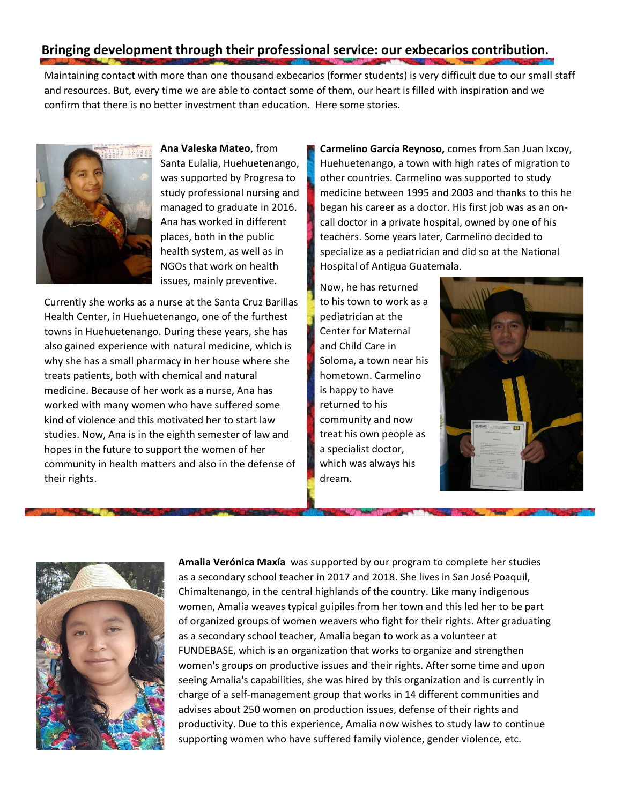### **Bringing development through their professional service: our exbecarios contribution.**

Maintaining contact with more than one thousand exbecarios (former students) is very difficult due to our small staff and resources. But, every time we are able to contact some of them, our heart is filled with inspiration and we confirm that there is no better investment than education. Here some stories.



**Ana Valeska Mateo**, from Santa Eulalia, Huehuetenango, was supported by Progresa to study professional nursing and managed to graduate in 2016. Ana has worked in different places, both in the public health system, as well as in NGOs that work on health issues, mainly preventive.

Currently she works as a nurse at the Santa Cruz Barillas Health Center, in Huehuetenango, one of the furthest towns in Huehuetenango. During these years, she has also gained experience with natural medicine, which is why she has a small pharmacy in her house where she treats patients, both with chemical and natural medicine. Because of her work as a nurse, Ana has worked with many women who have suffered some kind of violence and this motivated her to start law studies. Now, Ana is in the eighth semester of law and hopes in the future to support the women of her community in health matters and also in the defense of their rights.

**Carmelino García Reynoso,** comes from San Juan Ixcoy, Huehuetenango, a town with high rates of migration to other countries. Carmelino was supported to study medicine between 1995 and 2003 and thanks to this he began his career as a doctor. His first job was as an oncall doctor in a private hospital, owned by one of his teachers. Some years later, Carmelino decided to specialize as a pediatrician and did so at the National Hospital of Antigua Guatemala.

Now, he has returned to his town to work as a pediatrician at the Center for Maternal and Child Care in Soloma, a town near his hometown. Carmelino is happy to have returned to his community and now treat his own people as a specialist doctor, which was always his dream.





**Amalia Verónica Maxía** was supported by our program to complete her studies as a secondary school teacher in 2017 and 2018. She lives in San José Poaquil, Chimaltenango, in the central highlands of the country. Like many indigenous women, Amalia weaves typical guipiles from her town and this led her to be part of organized groups of women weavers who fight for their rights. After graduating as a secondary school teacher, Amalia began to work as a volunteer at FUNDEBASE, which is an organization that works to organize and strengthen women's groups on productive issues and their rights. After some time and upon seeing Amalia's capabilities, she was hired by this organization and is currently in charge of a self-management group that works in 14 different communities and advises about 250 women on production issues, defense of their rights and productivity. Due to this experience, Amalia now wishes to study law to continue supporting women who have suffered family violence, gender violence, etc.